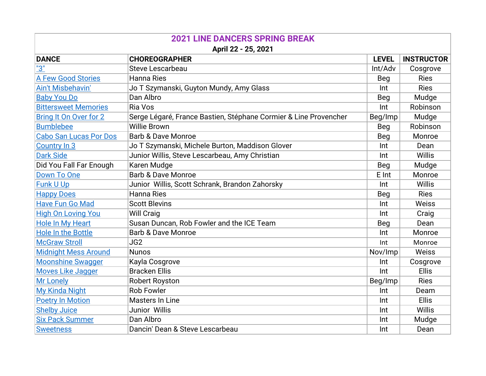| <b>2021 LINE DANCERS SPRING BREAK</b> |                                                                  |              |                   |  |  |
|---------------------------------------|------------------------------------------------------------------|--------------|-------------------|--|--|
| April 22 - 25, 2021                   |                                                                  |              |                   |  |  |
| <b>DANCE</b>                          | <b>CHOREOGRAPHER</b>                                             | <b>LEVEL</b> | <b>INSTRUCTOR</b> |  |  |
| <u>"3"</u>                            | <b>Steve Lescarbeau</b>                                          | Int/Adv      | Cosgrove          |  |  |
| <b>A Few Good Stories</b>             | Hanna Ries                                                       | Beg          | <b>Ries</b>       |  |  |
| Ain't Misbehavin'                     | Jo T Szymanski, Guyton Mundy, Amy Glass                          | Int          | <b>Ries</b>       |  |  |
| <b>Baby You Do</b>                    | Dan Albro                                                        | Beg          | Mudge             |  |  |
| <b>Bittersweet Memories</b>           | Ria Vos                                                          | Int          | Robinson          |  |  |
| Bring It On Over for 2                | Serge Légaré, France Bastien, Stéphane Cormier & Line Provencher | Beg/Imp      | Mudge             |  |  |
| <b>Bumblebee</b>                      | <b>Willie Brown</b>                                              | Beg          | Robinson          |  |  |
| <b>Cabo San Lucas Por Dos</b>         | <b>Barb &amp; Dave Monroe</b>                                    | Beg          | Monroe            |  |  |
| <b>Country In 3</b>                   | Jo T Szymanski, Michele Burton, Maddison Glover                  | Int          | Dean              |  |  |
| <b>Dark Side</b>                      | Junior Willis, Steve Lescarbeau, Amy Christian                   | Int          | <b>Willis</b>     |  |  |
| Did You Fall Far Enough               | Karen Mudge                                                      | Beg          | Mudge             |  |  |
| Down To One                           | <b>Barb &amp; Dave Monroe</b>                                    | E Int        | Monroe            |  |  |
| <b>Funk U Up</b>                      | Junior Willis, Scott Schrank, Brandon Zahorsky                   | Int          | Willis            |  |  |
| <b>Happy Does</b>                     | <b>Hanna Ries</b>                                                | Beg          | <b>Ries</b>       |  |  |
| <b>Have Fun Go Mad</b>                | <b>Scott Blevins</b>                                             | Int          | Weiss             |  |  |
| <b>High On Loving You</b>             | <b>Will Craig</b>                                                | Int          | Craig             |  |  |
| <b>Hole In My Heart</b>               | Susan Duncan, Rob Fowler and the ICE Team                        | Beg          | Dean              |  |  |
| <b>Hole In the Bottle</b>             | <b>Barb &amp; Dave Monroe</b>                                    | Int          | Monroe            |  |  |
| <b>McGraw Stroll</b>                  | JG <sub>2</sub>                                                  | Int          | Monroe            |  |  |
| <b>Midnight Mess Around</b>           | <b>Nunos</b>                                                     | Nov/Imp      | Weiss             |  |  |
| <b>Moonshine Swagger</b>              | Kayla Cosgrove                                                   | Int          | Cosgrove          |  |  |
| <b>Moves Like Jagger</b>              | <b>Bracken Ellis</b>                                             | Int          | <b>Ellis</b>      |  |  |
| <b>Mr Lonely</b>                      | <b>Robert Royston</b>                                            | Beg/Imp      | <b>Ries</b>       |  |  |
| My Kinda Night                        | <b>Rob Fowler</b>                                                | Int          | Deam              |  |  |
| <b>Poetry In Motion</b>               | <b>Masters In Line</b>                                           | Int          | <b>Ellis</b>      |  |  |
| <b>Shelby Juice</b>                   | Junior Willis                                                    | Int          | Willis            |  |  |
| <b>Six Pack Summer</b>                | Dan Albro                                                        | Int          | Mudge             |  |  |
| <b>Sweetness</b>                      | Dancin' Dean & Steve Lescarbeau                                  | Int          | Dean              |  |  |